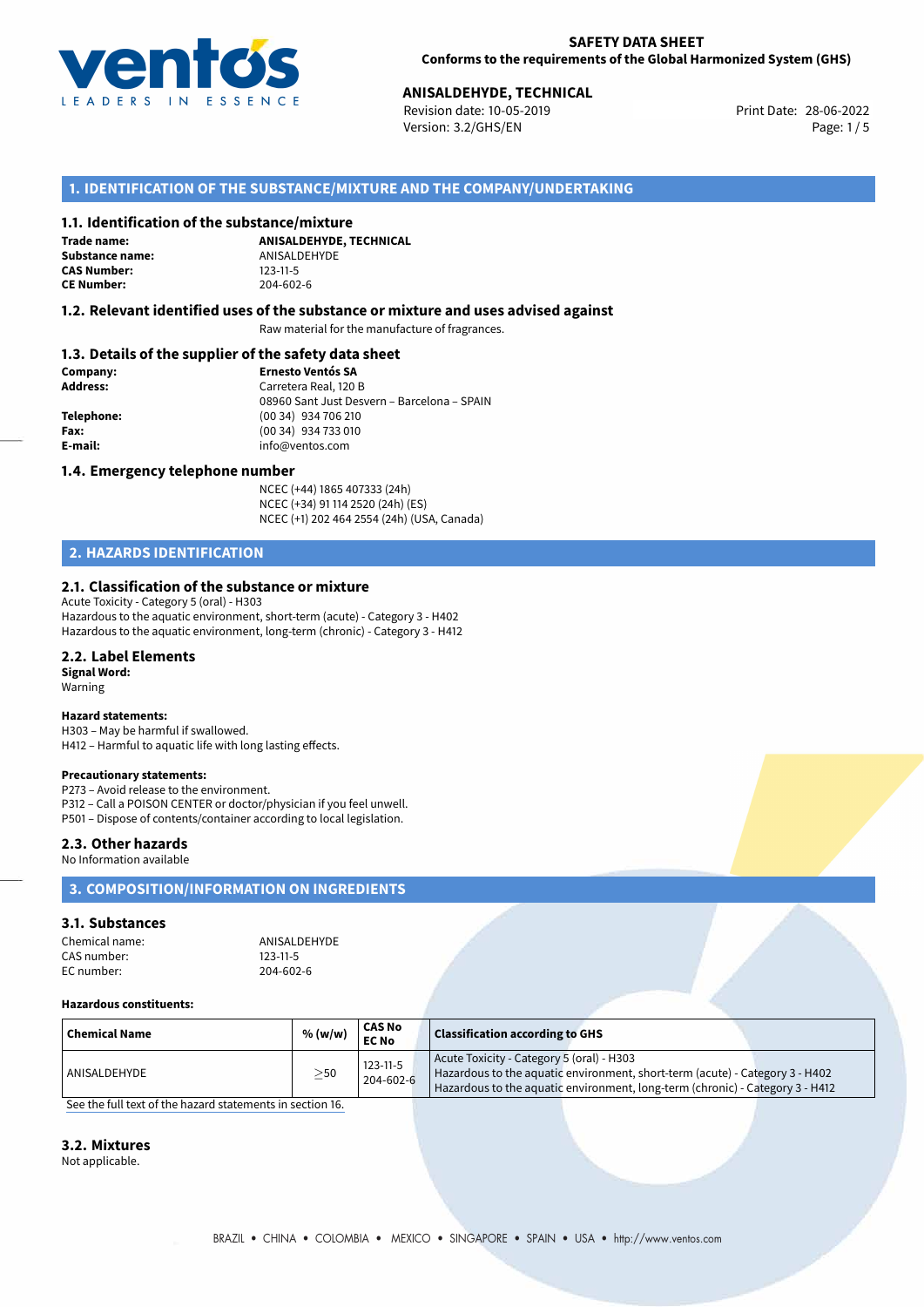

Revision date: 10-05-2019 Version: 3.2/GHS/EN Page: 1/5

## **1. IDENTIFICATION OF THE SUBSTANCE/MIXTURE AND THE COMPANY/UNDERTAKING**

### **1.1. Identification of the substance/mixture**

**Trade name: Substance name:** ANISALDEHYDE<br> **CAS Number:** 123-11-5 **CAS Number: CE Number:** 204-602-6

**ANISALDEHYDE, TECHNICAL**

### **1.2. Relevant identified uses of the substance or mixture and uses advised against**

Raw material for the manufacture of fragrances.

### **1.3. Details of the supplier of the safety data sheet**

| Company:        | <b>Ernesto Ventós SA</b>                    |
|-----------------|---------------------------------------------|
| <b>Address:</b> | Carretera Real, 120 B                       |
|                 | 08960 Sant Just Desvern - Barcelona - SPAIN |
| Telephone:      | (00 34) 934 706 210                         |
| Fax:            | (00 34) 934 733 010                         |
| E-mail:         | info@ventos.com                             |
|                 |                                             |

### **1.4. Emergency telephone number**

NCEC (+44) 1865 407333 (24h) NCEC (+34) 91 114 2520 (24h) (ES) NCEC (+1) 202 464 2554 (24h) (USA, Canada)

# **2. HAZARDS IDENTIFICATION**

### **2.1. Classification of the substance or mixture**

Acute Toxicity - Category 5 (oral) - H303 Hazardous to the aquatic environment, short-term (acute) - Category 3 - H402 Hazardous to the aquatic environment, long-term (chronic) - Category 3 - H412

### **2.2. Label Elements**

**Signal Word:** Warning

### **Hazard statements:**

H303 – May be harmful if swallowed. H412 – Harmful to aquatic life with long lasting effects.

#### **Precautionary statements:**

P273 – Avoid release to the environment. P312 – Call a POISON CENTER or doctor/physician if you feel unwell. P501 – Dispose of contents/container according to local legislation.

### **2.3. Other hazards**

No Information available

# **3. COMPOSITION/INFORMATION ON INGREDIENTS**

## **3.1. Substances**

| Chemical name: | ANISALDEHYDE   |
|----------------|----------------|
| CAS number:    | $123 - 11 - 5$ |
| EC number:     | 204-602-6      |

#### **Hazardous constituents:**

| Chemical Name | % (w/w)   | CAS No<br><b>EC No</b>      | <b>Classification according to GHS</b>                                                                                                                                                                     |
|---------------|-----------|-----------------------------|------------------------------------------------------------------------------------------------------------------------------------------------------------------------------------------------------------|
| ANISALDEHYDE  | $\geq$ 50 | $123 - 11 - 5$<br>204-602-6 | Acute Toxicity - Category 5 (oral) - H303<br>Hazardous to the aquatic environment, short-term (acute) - Category 3 - H402<br>Hazardous to the aquatic environment, long-term (chronic) - Category 3 - H412 |

[See the full text of the hazard statements in section 16.](#page--1-0)

# **3.2. Mixtures**

Not applicable.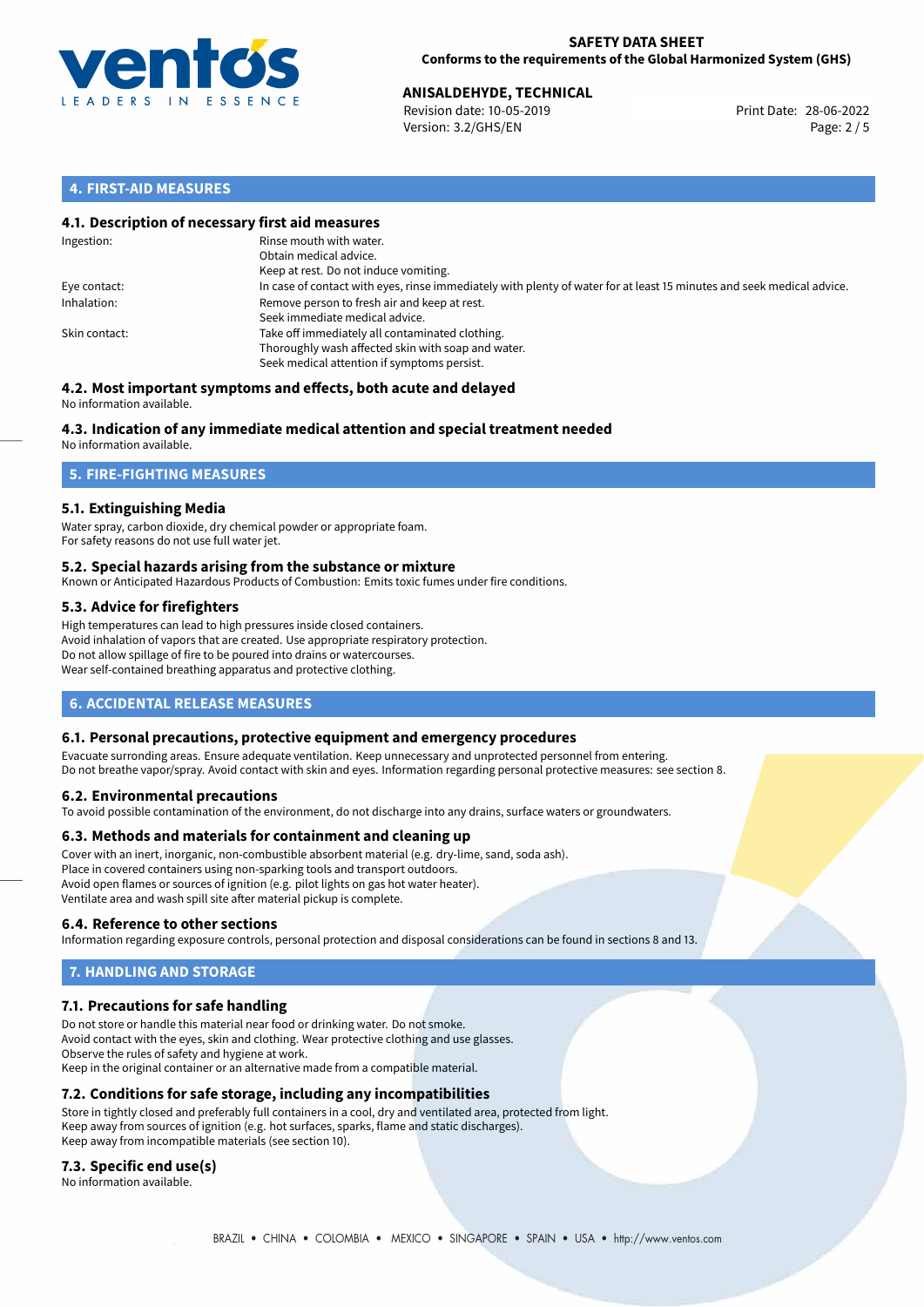

Revision date: 10-05-2019 Version: 3.2/GHS/EN Page: 2 / 5

## **4. FIRST-AID MEASURES**

### **4.1. Description of necessary first aid measures**

| Ingestion:    | Rinse mouth with water.<br>Obtain medical advice.<br>Keep at rest. Do not induce vomiting.                                                           |
|---------------|------------------------------------------------------------------------------------------------------------------------------------------------------|
| Eye contact:  | In case of contact with eyes, rinse immediately with plenty of water for at least 15 minutes and seek medical advice.                                |
| Inhalation:   | Remove person to fresh air and keep at rest.<br>Seek immediate medical advice.                                                                       |
| Skin contact: | Take off immediately all contaminated clothing.<br>Thoroughly wash affected skin with soap and water.<br>Seek medical attention if symptoms persist. |

#### **4.2. Most important symptoms and effects, both acute and delayed** No information available.

# **4.3. Indication of any immediate medical attention and special treatment needed**

No information available.

# **5. FIRE-FIGHTING MEASURES**

### **5.1. Extinguishing Media**

Water spray, carbon dioxide, dry chemical powder or appropriate foam. For safety reasons do not use full water jet.

### **5.2. Special hazards arising from the substance or mixture**

Known or Anticipated Hazardous Products of Combustion: Emits toxic fumes under fire conditions.

### **5.3. Advice for firefighters**

High temperatures can lead to high pressures inside closed containers. Avoid inhalation of vapors that are created. Use appropriate respiratory protection. Do not allow spillage of fire to be poured into drains or watercourses. Wear self-contained breathing apparatus and protective clothing.

# **6. ACCIDENTAL RELEASE MEASURES**

### **6.1. Personal precautions, protective equipment and emergency procedures**

Evacuate surronding areas. Ensure adequate ventilation. Keep unnecessary and unprotected personnel from entering. Do not breathe vapor/spray. Avoid contact with skin and eyes. Information regarding personal protective measures: see section 8.

### **6.2. Environmental precautions**

To avoid possible contamination of the environment, do not discharge into any drains, surface waters or groundwaters.

### **6.3. Methods and materials for containment and cleaning up**

Cover with an inert, inorganic, non-combustible absorbent material (e.g. dry-lime, sand, soda ash). Place in covered containers using non-sparking tools and transport outdoors. Avoid open flames or sources of ignition (e.g. pilot lights on gas hot water heater). Ventilate area and wash spill site after material pickup is complete.

### **6.4. Reference to other sections**

Information regarding exposure controls, personal protection and disposal considerations can be found in sections 8 and 13.

# **7. HANDLING AND STORAGE**

### **7.1. Precautions for safe handling**

Do not store or handle this material near food or drinking water. Do not smoke. Avoid contact with the eyes, skin and clothing. Wear protective clothing and use glasses. Observe the rules of safety and hygiene at work. Keep in the original container or an alternative made from a compatible material.

### **7.2. Conditions for safe storage, including any incompatibilities**

Store in tightly closed and preferably full containers in a cool, dry and ventilated area, protected from light. Keep away from sources of ignition (e.g. hot surfaces, sparks, flame and static discharges). Keep away from incompatible materials (see section 10).

### **7.3. Specific end use(s)**

No information available.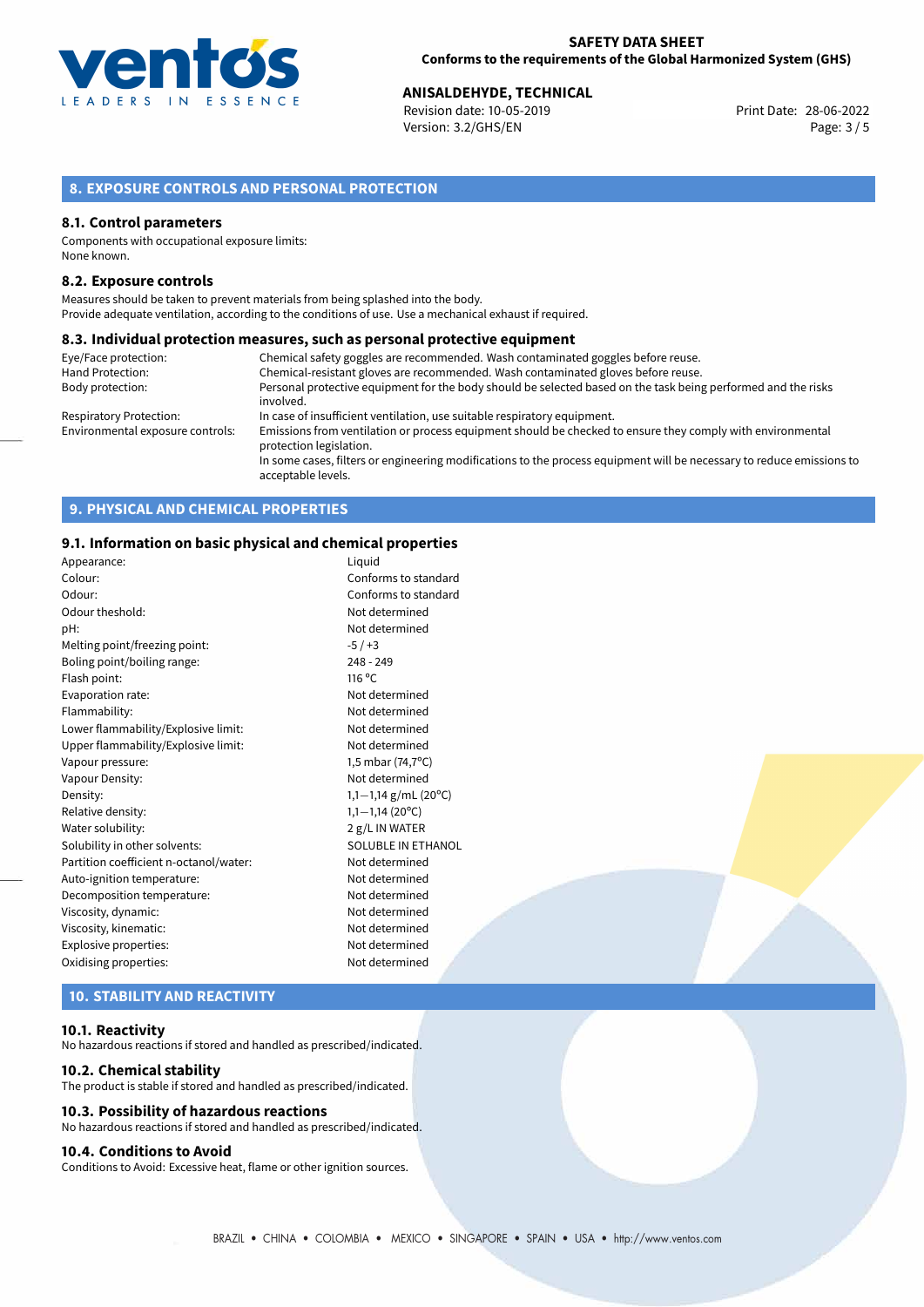

Revision date: 10-05-2019 Version: 3.2/GHS/EN Page: 3 / 5

# **8. EXPOSURE CONTROLS AND PERSONAL PROTECTION**

### **8.1. Control parameters**

Components with occupational exposure limits: None known.

### **8.2. Exposure controls**

Measures should be taken to prevent materials from being splashed into the body. Provide adequate ventilation, according to the conditions of use. Use a mechanical exhaust if required.

### **8.3. Individual protection measures, such as personal protective equipment**

| Eye/Face protection:             | Chemical safety goggles are recommended. Wash contaminated goggles before reuse.                                                            |
|----------------------------------|---------------------------------------------------------------------------------------------------------------------------------------------|
| Hand Protection:                 | Chemical-resistant gloves are recommended. Wash contaminated gloves before reuse.                                                           |
| Body protection:                 | Personal protective equipment for the body should be selected based on the task being performed and the risks                               |
|                                  | involved.                                                                                                                                   |
| <b>Respiratory Protection:</b>   | In case of insufficient ventilation, use suitable respiratory equipment.                                                                    |
| Environmental exposure controls: | Emissions from ventilation or process equipment should be checked to ensure they comply with environmental<br>protection legislation.       |
|                                  | In some cases, filters or engineering modifications to the process equipment will be necessary to reduce emissions to<br>acceptable levels. |

# **9. PHYSICAL AND CHEMICAL PROPERTIES**

### **9.1. Information on basic physical and chemical properties**

| Appearance:                            | Liguid                          |
|----------------------------------------|---------------------------------|
| Colour:                                | Conforms to standard            |
| Odour:                                 | Conforms to standard            |
| Odour theshold:                        | Not determined                  |
| pH:                                    | Not determined                  |
| Melting point/freezing point:          | $-5/ +3$                        |
| Boling point/boiling range:            | $248 - 249$                     |
| Flash point:                           | $116^{\circ}$ C                 |
| Evaporation rate:                      | Not determined                  |
| Flammability:                          | Not determined                  |
| Lower flammability/Explosive limit:    | Not determined                  |
| Upper flammability/Explosive limit:    | Not determined                  |
| Vapour pressure:                       | 1,5 mbar (74,7°C)               |
| Vapour Density:                        | Not determined                  |
| Density:                               | 1,1-1,14 g/mL (20 $^{\circ}$ C) |
| Relative density:                      | $1,1-1,14(20^{\circ}C)$         |
| Water solubility:                      | 2 g/L IN WATER                  |
| Solubility in other solvents:          | <b>SOLUBLE IN ETHANOL</b>       |
| Partition coefficient n-octanol/water: | Not determined                  |
| Auto-ignition temperature:             | Not determined                  |
| Decomposition temperature:             | Not determined                  |
| Viscosity, dynamic:                    | Not determined                  |
| Viscosity, kinematic:                  | Not determined                  |
| Explosive properties:                  | Not determined                  |
| Oxidising properties:                  | Not determined                  |
|                                        |                                 |

# **10. STABILITY AND REACTIVITY**

### **10.1. Reactivity**

No hazardous reactions if stored and handled as prescribed/indicated.

### **10.2. Chemical stability**

The product is stable if stored and handled as prescribed/indicated.

### **10.3. Possibility of hazardous reactions**

No hazardous reactions if stored and handled as prescribed/indicated.

### **10.4. Conditions to Avoid**

Conditions to Avoid: Excessive heat, flame or other ignition sources.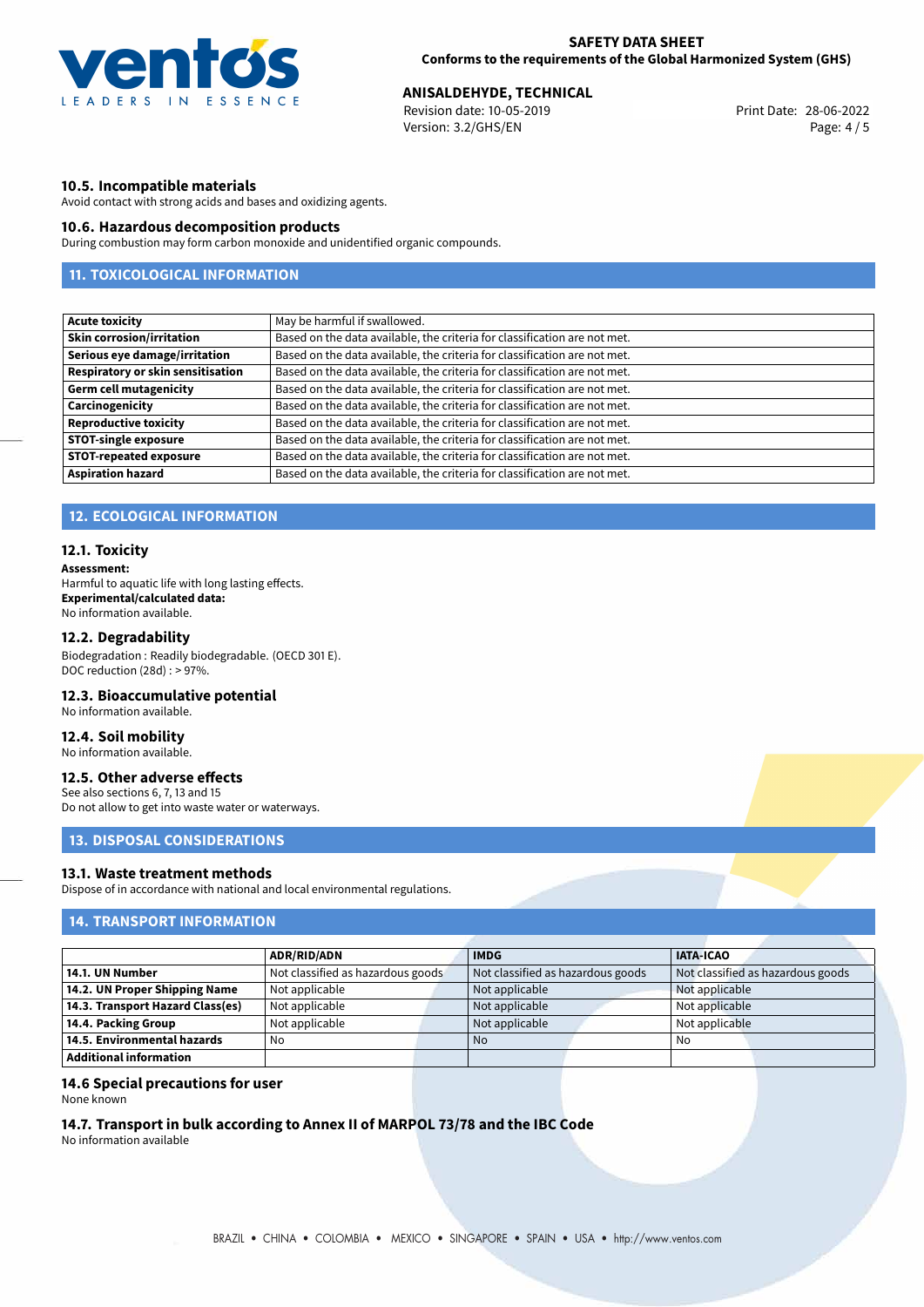

Revision date: 10-05-2019 Version: 3.2/GHS/EN Page: 4 / 5

### **10.5. Incompatible materials**

Avoid contact with strong acids and bases and oxidizing agents.

### **10.6. Hazardous decomposition products**

During combustion may form carbon monoxide and unidentified organic compounds.

# **11. TOXICOLOGICAL INFORMATION**

| <b>Acute toxicity</b>                    | May be harmful if swallowed.                                              |
|------------------------------------------|---------------------------------------------------------------------------|
| <b>Skin corrosion/irritation</b>         | Based on the data available, the criteria for classification are not met. |
| Serious eye damage/irritation            | Based on the data available, the criteria for classification are not met. |
| <b>Respiratory or skin sensitisation</b> | Based on the data available, the criteria for classification are not met. |
| <b>Germ cell mutagenicity</b>            | Based on the data available, the criteria for classification are not met. |
| Carcinogenicity                          | Based on the data available, the criteria for classification are not met. |
| <b>Reproductive toxicity</b>             | Based on the data available, the criteria for classification are not met. |
| <b>STOT-single exposure</b>              | Based on the data available, the criteria for classification are not met. |
| <b>STOT-repeated exposure</b>            | Based on the data available, the criteria for classification are not met. |
| <b>Aspiration hazard</b>                 | Based on the data available, the criteria for classification are not met. |

# **12. ECOLOGICAL INFORMATION**

### **12.1. Toxicity**

#### **Assessment:**

Harmful to aquatic life with long lasting effects. **Experimental/calculated data:** No information available.

### **12.2. Degradability**

Biodegradation : Readily biodegradable. (OECD 301 E). DOC reduction (28d) : > 97%.

### **12.3. Bioaccumulative potential**

No information available.

## **12.4. Soil mobility**

No information available.

# **12.5. Other adverse effects**

See also sections 6, 7, 13 and 15 Do not allow to get into waste water or waterways.

# **13. DISPOSAL CONSIDERATIONS**

### **13.1. Waste treatment methods**

Dispose of in accordance with national and local environmental regulations.

### **14. TRANSPORT INFORMATION**

|                                  | <b>ADR/RID/ADN</b>                | <b>IMDG</b>                       | <b>IATA-ICAO</b>                  |
|----------------------------------|-----------------------------------|-----------------------------------|-----------------------------------|
| 14.1. UN Number                  | Not classified as hazardous goods | Not classified as hazardous goods | Not classified as hazardous goods |
| 14.2. UN Proper Shipping Name    | Not applicable                    | Not applicable                    | Not applicable                    |
| 14.3. Transport Hazard Class(es) | Not applicable                    | Not applicable                    | Not applicable                    |
| 14.4. Packing Group              | Not applicable                    | Not applicable                    | Not applicable                    |
| 14.5. Environmental hazards      | No                                | <b>No</b>                         | No                                |
| Additional information           |                                   |                                   |                                   |

### **14.6 Special precautions for user**

None known

**14.7. Transport in bulk according to Annex II of MARPOL 73/78 and the IBC Code** No information available